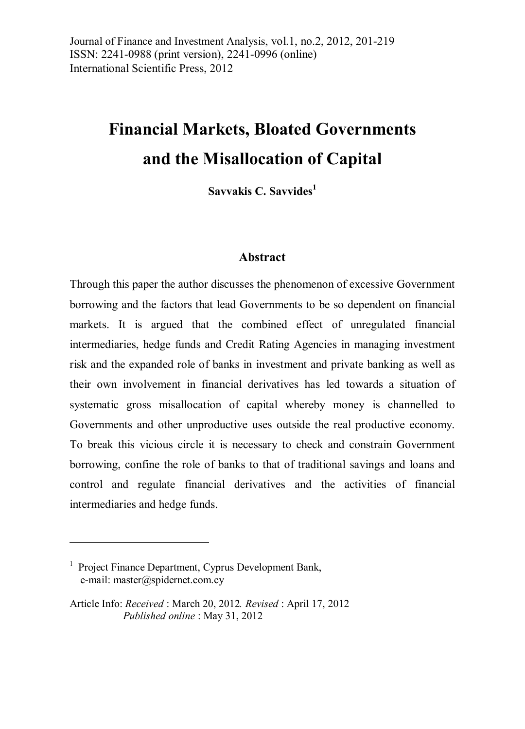# **Financial Markets, Bloated Governments and the Misallocation of Capital**

**Savvakis C. Savvides<sup>1</sup>**

#### **Abstract**

Through this paper the author discusses the phenomenon of excessive Government borrowing and the factors that lead Governments to be so dependent on financial markets. It is argued that the combined effect of unregulated financial intermediaries, hedge funds and Credit Rating Agencies in managing investment risk and the expanded role of banks in investment and private banking as well as their own involvement in financial derivatives has led towards a situation of systematic gross misallocation of capital whereby money is channelled to Governments and other unproductive uses outside the real productive economy. To break this vicious circle it is necessary to check and constrain Government borrowing, confine the role of banks to that of traditional savings and loans and control and regulate financial derivatives and the activities of financial intermediaries and hedge funds.

<sup>&</sup>lt;sup>1</sup> Project Finance Department, Cyprus Development Bank, e-mail: master@spidernet.com.cy

Article Info: *Received* : March 20, 2012*. Revised* : April 17, 2012 *Published online* : May 31, 2012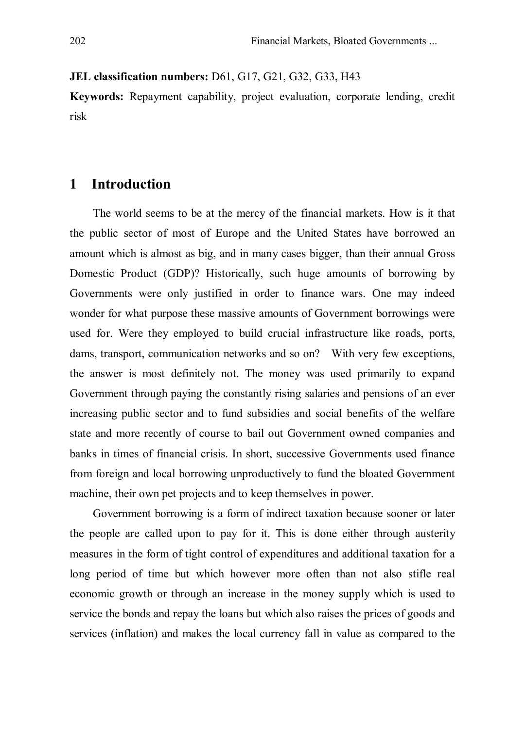## **JEL classification numbers:** D61, G17, G21, G32, G33, H43

**Keywords:** Repayment capability, project evaluation, corporate lending, credit risk

# **1 Introduction**

The world seems to be at the mercy of the financial markets. How is it that the public sector of most of Europe and the United States have borrowed an amount which is almost as big, and in many cases bigger, than their annual Gross Domestic Product (GDP)? Historically, such huge amounts of borrowing by Governments were only justified in order to finance wars. One may indeed wonder for what purpose these massive amounts of Government borrowings were used for. Were they employed to build crucial infrastructure like roads, ports, dams, transport, communication networks and so on? With very few exceptions, the answer is most definitely not. The money was used primarily to expand Government through paying the constantly rising salaries and pensions of an ever increasing public sector and to fund subsidies and social benefits of the welfare state and more recently of course to bail out Government owned companies and banks in times of financial crisis. In short, successive Governments used finance from foreign and local borrowing unproductively to fund the bloated Government machine, their own pet projects and to keep themselves in power.

Government borrowing is a form of indirect taxation because sooner or later the people are called upon to pay for it. This is done either through austerity measures in the form of tight control of expenditures and additional taxation for a long period of time but which however more often than not also stifle real economic growth or through an increase in the money supply which is used to service the bonds and repay the loans but which also raises the prices of goods and services (inflation) and makes the local currency fall in value as compared to the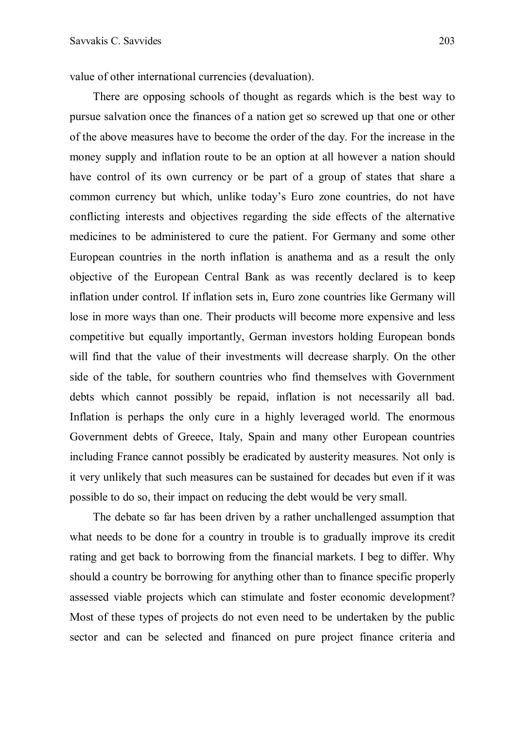value of other international currencies (devaluation).

There are opposing schools of thought as regards which is the best way to pursue salvation once the finances of a nation get so screwed up that one or other of the above measures have to become the order of the day. For the increase in the money supply and inflation route to be an option at all however a nation should have control of its own currency or be part of a group of states that share a common currency but which, unlike today's Euro zone countries, do not have conflicting interests and objectives regarding the side effects of the alternative medicines to be administered to cure the patient. For Germany and some other European countries in the north inflation is anathema and as a result the only objective of the European Central Bank as was recently declared is to keep inflation under control. If inflation sets in, Euro zone countries like Germany will lose in more ways than one. Their products will become more expensive and less competitive but equally importantly, German investors holding European bonds will find that the value of their investments will decrease sharply. On the other side of the table, for southern countries who find themselves with Government debts which cannot possibly be repaid, inflation is not necessarily all bad. Inflation is perhaps the only cure in a highly leveraged world. The enormous Government debts of Greece, Italy, Spain and many other European countries including France cannot possibly be eradicated by austerity measures. Not only is it very unlikely that such measures can be sustained for decades but even if it was possible to do so, their impact on reducing the debt would be very small.

The debate so far has been driven by a rather unchallenged assumption that what needs to be done for a country in trouble is to gradually improve its credit rating and get back to borrowing from the financial markets. I beg to differ. Why should a country be borrowing for anything other than to finance specific properly assessed viable projects which can stimulate and foster economic development? Most of these types of projects do not even need to be undertaken by the public sector and can be selected and financed on pure project finance criteria and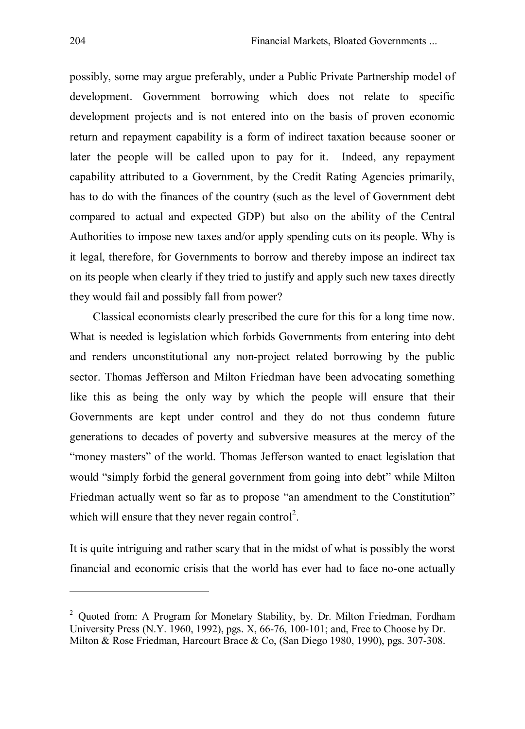possibly, some may argue preferably, under a Public Private Partnership model of development. Government borrowing which does not relate to specific development projects and is not entered into on the basis of proven economic return and repayment capability is a form of indirect taxation because sooner or later the people will be called upon to pay for it. Indeed, any repayment capability attributed to a Government, by the Credit Rating Agencies primarily, has to do with the finances of the country (such as the level of Government debt compared to actual and expected GDP) but also on the ability of the Central Authorities to impose new taxes and/or apply spending cuts on its people. Why is it legal, therefore, for Governments to borrow and thereby impose an indirect tax on its people when clearly if they tried to justify and apply such new taxes directly they would fail and possibly fall from power?

Classical economists clearly prescribed the cure for this for a long time now. What is needed is legislation which forbids Governments from entering into debt and renders unconstitutional any non-project related borrowing by the public sector. Thomas Jefferson and Milton Friedman have been advocating something like this as being the only way by which the people will ensure that their Governments are kept under control and they do not thus condemn future generations to decades of poverty and subversive measures at the mercy of the "money masters" of the world. Thomas Jefferson wanted to enact legislation that would "simply forbid the general government from going into debt" while Milton Friedman actually went so far as to propose "an amendment to the Constitution" which will ensure that they never regain control<sup>2</sup>.

It is quite intriguing and rather scary that in the midst of what is possibly the worst financial and economic crisis that the world has ever had to face no-one actually

<sup>&</sup>lt;sup>2</sup> Quoted from: A Program for Monetary Stability, by. Dr. Milton Friedman, Fordham University Press (N.Y. 1960, 1992), pgs. X, 66-76, 100-101; and, Free to Choose by Dr. Milton & Rose Friedman, Harcourt Brace & Co, (San Diego 1980, 1990), pgs. 307-308.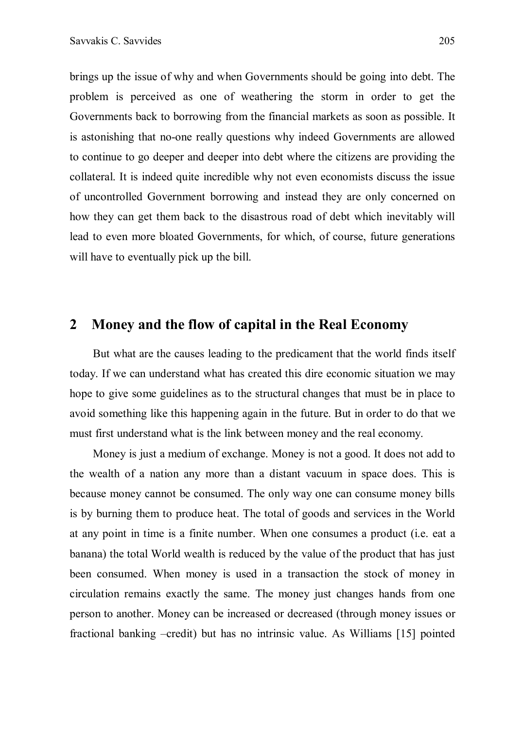brings up the issue of why and when Governments should be going into debt. The problem is perceived as one of weathering the storm in order to get the Governments back to borrowing from the financial markets as soon as possible. It is astonishing that no-one really questions why indeed Governments are allowed to continue to go deeper and deeper into debt where the citizens are providing the collateral. It is indeed quite incredible why not even economists discuss the issue of uncontrolled Government borrowing and instead they are only concerned on how they can get them back to the disastrous road of debt which inevitably will lead to even more bloated Governments, for which, of course, future generations will have to eventually pick up the bill.

## **2 Money and the flow of capital in the Real Economy**

But what are the causes leading to the predicament that the world finds itself today. If we can understand what has created this dire economic situation we may hope to give some guidelines as to the structural changes that must be in place to avoid something like this happening again in the future. But in order to do that we must first understand what is the link between money and the real economy.

Money is just a medium of exchange. Money is not a good. It does not add to the wealth of a nation any more than a distant vacuum in space does. This is because money cannot be consumed. The only way one can consume money bills is by burning them to produce heat. The total of goods and services in the World at any point in time is a finite number. When one consumes a product (i.e. eat a banana) the total World wealth is reduced by the value of the product that has just been consumed. When money is used in a transaction the stock of money in circulation remains exactly the same. The money just changes hands from one person to another. Money can be increased or decreased (through money issues or fractional banking –credit) but has no intrinsic value. As Williams [15] pointed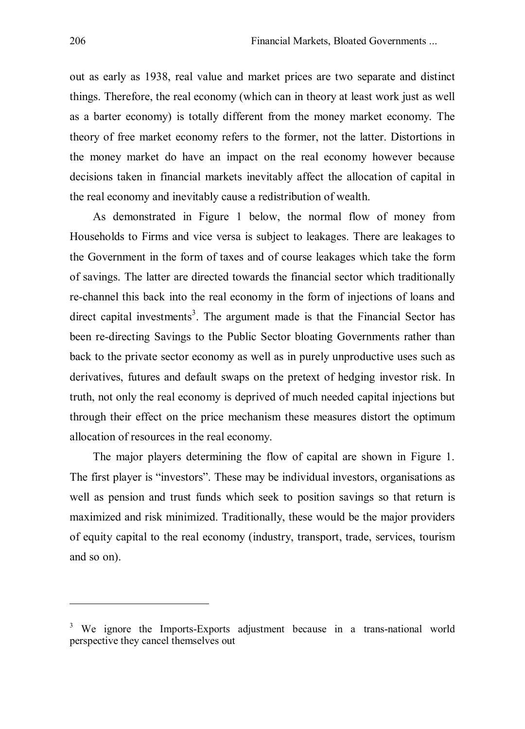out as early as 1938, real value and market prices are two separate and distinct things. Therefore, the real economy (which can in theory at least work just as well as a barter economy) is totally different from the money market economy. The theory of free market economy refers to the former, not the latter. Distortions in the money market do have an impact on the real economy however because decisions taken in financial markets inevitably affect the allocation of capital in the real economy and inevitably cause a redistribution of wealth.

As demonstrated in Figure 1 below, the normal flow of money from Households to Firms and vice versa is subject to leakages. There are leakages to the Government in the form of taxes and of course leakages which take the form of savings. The latter are directed towards the financial sector which traditionally re-channel this back into the real economy in the form of injections of loans and direct capital investments<sup>3</sup>. The argument made is that the Financial Sector has been re-directing Savings to the Public Sector bloating Governments rather than back to the private sector economy as well as in purely unproductive uses such as derivatives, futures and default swaps on the pretext of hedging investor risk. In truth, not only the real economy is deprived of much needed capital injections but through their effect on the price mechanism these measures distort the optimum allocation of resources in the real economy.

The major players determining the flow of capital are shown in Figure 1. The first player is "investors". These may be individual investors, organisations as well as pension and trust funds which seek to position savings so that return is maximized and risk minimized. Traditionally, these would be the major providers of equity capital to the real economy (industry, transport, trade, services, tourism and so on).

<sup>&</sup>lt;sup>3</sup> We ignore the Imports-Exports adjustment because in a trans-national world perspective they cancel themselves out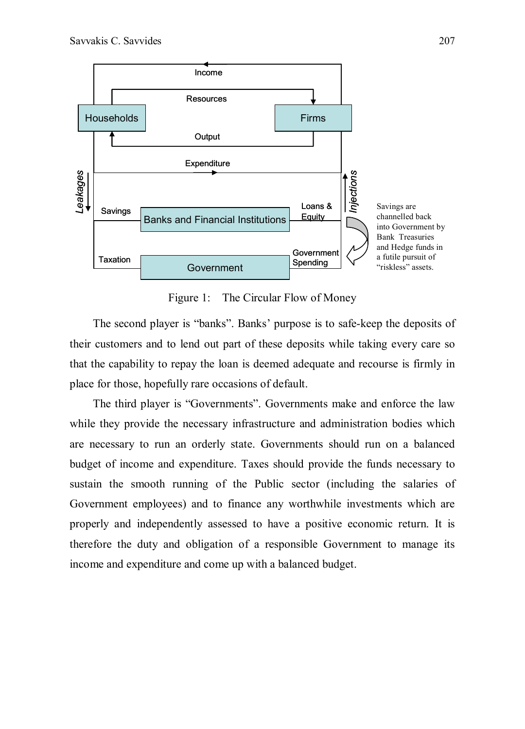

Figure 1: The Circular Flow of Money

The second player is "banks". Banks' purpose is to safe-keep the deposits of their customers and to lend out part of these deposits while taking every care so that the capability to repay the loan is deemed adequate and recourse is firmly in place for those, hopefully rare occasions of default.

The third player is "Governments". Governments make and enforce the law while they provide the necessary infrastructure and administration bodies which are necessary to run an orderly state. Governments should run on a balanced budget of income and expenditure. Taxes should provide the funds necessary to sustain the smooth running of the Public sector (including the salaries of Government employees) and to finance any worthwhile investments which are properly and independently assessed to have a positive economic return. It is therefore the duty and obligation of a responsible Government to manage its income and expenditure and come up with a balanced budget.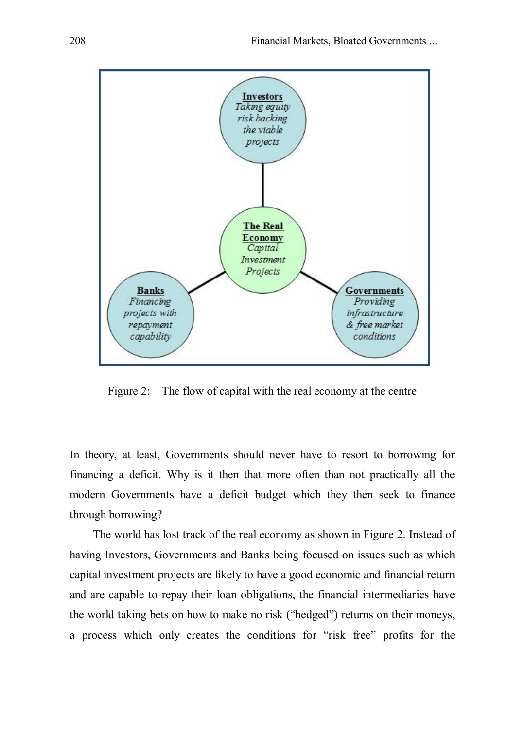

Figure 2: The flow of capital with the real economy at the centre

In theory, at least, Governments should never have to resort to borrowing for financing a deficit. Why is it then that more often than not practically all the modern Governments have a deficit budget which they then seek to finance through borrowing?

The world has lost track of the real economy as shown in Figure 2. Instead of having Investors, Governments and Banks being focused on issues such as which capital investment projects are likely to have a good economic and financial return and are capable to repay their loan obligations, the financial intermediaries have the world taking bets on how to make no risk ("hedged") returns on their moneys, a process which only creates the conditions for "risk free" profits for the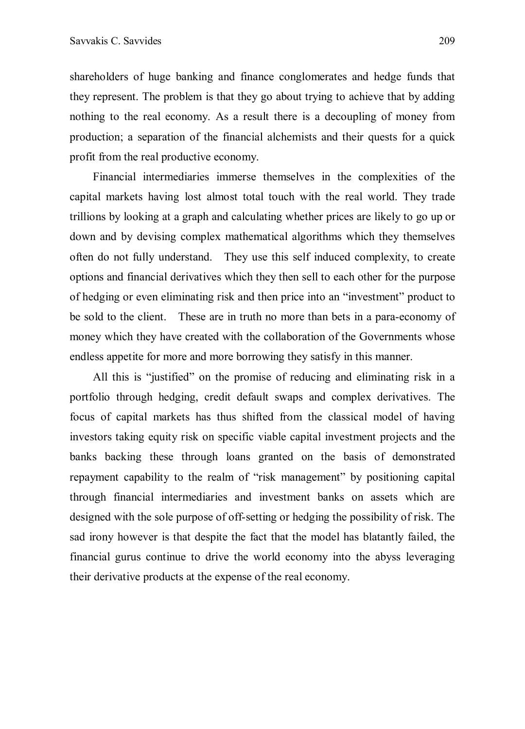shareholders of huge banking and finance conglomerates and hedge funds that they represent. The problem is that they go about trying to achieve that by adding nothing to the real economy. As a result there is a decoupling of money from production; a separation of the financial alchemists and their quests for a quick profit from the real productive economy.

Financial intermediaries immerse themselves in the complexities of the capital markets having lost almost total touch with the real world. They trade trillions by looking at a graph and calculating whether prices are likely to go up or down and by devising complex mathematical algorithms which they themselves often do not fully understand. They use this self induced complexity, to create options and financial derivatives which they then sell to each other for the purpose of hedging or even eliminating risk and then price into an "investment" product to be sold to the client. These are in truth no more than bets in a para-economy of money which they have created with the collaboration of the Governments whose endless appetite for more and more borrowing they satisfy in this manner.

All this is "justified" on the promise of reducing and eliminating risk in a portfolio through hedging, credit default swaps and complex derivatives. The focus of capital markets has thus shifted from the classical model of having investors taking equity risk on specific viable capital investment projects and the banks backing these through loans granted on the basis of demonstrated repayment capability to the realm of "risk management" by positioning capital through financial intermediaries and investment banks on assets which are designed with the sole purpose of off-setting or hedging the possibility of risk. The sad irony however is that despite the fact that the model has blatantly failed, the financial gurus continue to drive the world economy into the abyss leveraging their derivative products at the expense of the real economy.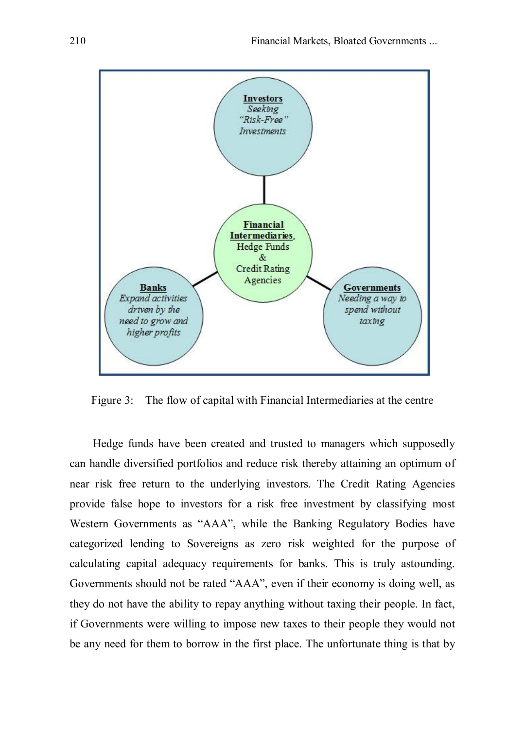

Figure 3: The flow of capital with Financial Intermediaries at the centre

Hedge funds have been created and trusted to managers which supposedly can handle diversified portfolios and reduce risk thereby attaining an optimum of near risk free return to the underlying investors. The Credit Rating Agencies provide false hope to investors for a risk free investment by classifying most Western Governments as "AAA", while the Banking Regulatory Bodies have categorized lending to Sovereigns as zero risk weighted for the purpose of calculating capital adequacy requirements for banks. This is truly astounding. Governments should not be rated "AAA", even if their economy is doing well, as they do not have the ability to repay anything without taxing their people. In fact, if Governments were willing to impose new taxes to their people they would not be any need for them to borrow in the first place. The unfortunate thing is that by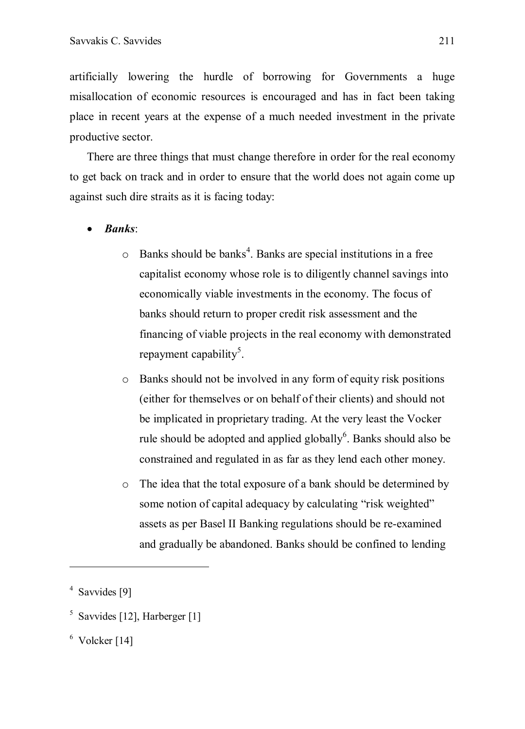artificially lowering the hurdle of borrowing for Governments a huge misallocation of economic resources is encouraged and has in fact been taking place in recent years at the expense of a much needed investment in the private productive sector.

There are three things that must change therefore in order for the real economy to get back on track and in order to ensure that the world does not again come up against such dire straits as it is facing today:

#### *Banks*:

- $\circ$  Banks should be banks<sup>4</sup>. Banks are special institutions in a free capitalist economy whose role is to diligently channel savings into economically viable investments in the economy. The focus of banks should return to proper credit risk assessment and the financing of viable projects in the real economy with demonstrated repayment capability<sup>5</sup>.
- o Banks should not be involved in any form of equity risk positions (either for themselves or on behalf of their clients) and should not be implicated in proprietary trading. At the very least the Vocker rule should be adopted and applied globally $<sup>6</sup>$ . Banks should also be</sup> constrained and regulated in as far as they lend each other money.
- o The idea that the total exposure of a bank should be determined by some notion of capital adequacy by calculating "risk weighted" assets as per Basel II Banking regulations should be re-examined and gradually be abandoned. Banks should be confined to lending

<sup>&</sup>lt;sup>4</sup> Savvides [9]

 $<sup>5</sup>$  Savvides [12], Harberger [1]</sup>

 $6$  Volcker [14]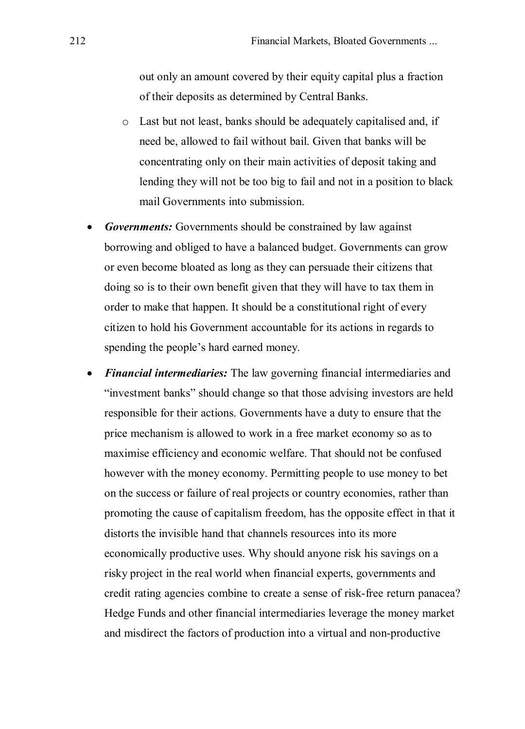out only an amount covered by their equity capital plus a fraction of their deposits as determined by Central Banks.

- o Last but not least, banks should be adequately capitalised and, if need be, allowed to fail without bail. Given that banks will be concentrating only on their main activities of deposit taking and lending they will not be too big to fail and not in a position to black mail Governments into submission.
- *Governments:* Governments should be constrained by law against borrowing and obliged to have a balanced budget. Governments can grow or even become bloated as long as they can persuade their citizens that doing so is to their own benefit given that they will have to tax them in order to make that happen. It should be a constitutional right of every citizen to hold his Government accountable for its actions in regards to spending the people's hard earned money.
- *Financial intermediaries:* The law governing financial intermediaries and "investment banks" should change so that those advising investors are held responsible for their actions. Governments have a duty to ensure that the price mechanism is allowed to work in a free market economy so as to maximise efficiency and economic welfare. That should not be confused however with the money economy. Permitting people to use money to bet on the success or failure of real projects or country economies, rather than promoting the cause of capitalism freedom, has the opposite effect in that it distorts the invisible hand that channels resources into its more economically productive uses. Why should anyone risk his savings on a risky project in the real world when financial experts, governments and credit rating agencies combine to create a sense of risk-free return panacea? Hedge Funds and other financial intermediaries leverage the money market and misdirect the factors of production into a virtual and non-productive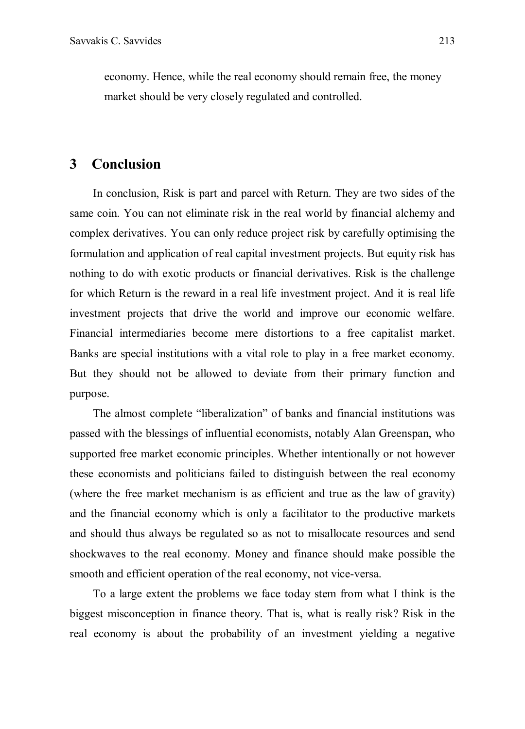economy. Hence, while the real economy should remain free, the money market should be very closely regulated and controlled.

# **3 Conclusion**

In conclusion, Risk is part and parcel with Return. They are two sides of the same coin. You can not eliminate risk in the real world by financial alchemy and complex derivatives. You can only reduce project risk by carefully optimising the formulation and application of real capital investment projects. But equity risk has nothing to do with exotic products or financial derivatives. Risk is the challenge for which Return is the reward in a real life investment project. And it is real life investment projects that drive the world and improve our economic welfare. Financial intermediaries become mere distortions to a free capitalist market. Banks are special institutions with a vital role to play in a free market economy. But they should not be allowed to deviate from their primary function and purpose.

The almost complete "liberalization" of banks and financial institutions was passed with the blessings of influential economists, notably Alan Greenspan, who supported free market economic principles. Whether intentionally or not however these economists and politicians failed to distinguish between the real economy (where the free market mechanism is as efficient and true as the law of gravity) and the financial economy which is only a facilitator to the productive markets and should thus always be regulated so as not to misallocate resources and send shockwaves to the real economy. Money and finance should make possible the smooth and efficient operation of the real economy, not vice-versa.

To a large extent the problems we face today stem from what I think is the biggest misconception in finance theory. That is, what is really risk? Risk in the real economy is about the probability of an investment yielding a negative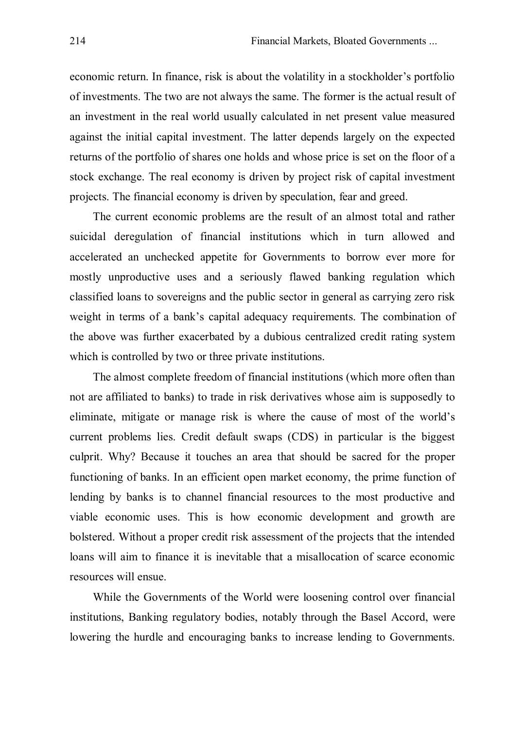economic return. In finance, risk is about the volatility in a stockholder's portfolio of investments. The two are not always the same. The former is the actual result of an investment in the real world usually calculated in net present value measured against the initial capital investment. The latter depends largely on the expected returns of the portfolio of shares one holds and whose price is set on the floor of a stock exchange. The real economy is driven by project risk of capital investment projects. The financial economy is driven by speculation, fear and greed.

The current economic problems are the result of an almost total and rather suicidal deregulation of financial institutions which in turn allowed and accelerated an unchecked appetite for Governments to borrow ever more for mostly unproductive uses and a seriously flawed banking regulation which classified loans to sovereigns and the public sector in general as carrying zero risk weight in terms of a bank's capital adequacy requirements. The combination of the above was further exacerbated by a dubious centralized credit rating system which is controlled by two or three private institutions.

The almost complete freedom of financial institutions (which more often than not are affiliated to banks) to trade in risk derivatives whose aim is supposedly to eliminate, mitigate or manage risk is where the cause of most of the world's current problems lies. Credit default swaps (CDS) in particular is the biggest culprit. Why? Because it touches an area that should be sacred for the proper functioning of banks. In an efficient open market economy, the prime function of lending by banks is to channel financial resources to the most productive and viable economic uses. This is how economic development and growth are bolstered. Without a proper credit risk assessment of the projects that the intended loans will aim to finance it is inevitable that a misallocation of scarce economic resources will ensue.

While the Governments of the World were loosening control over financial institutions, Banking regulatory bodies, notably through the Basel Accord, were lowering the hurdle and encouraging banks to increase lending to Governments.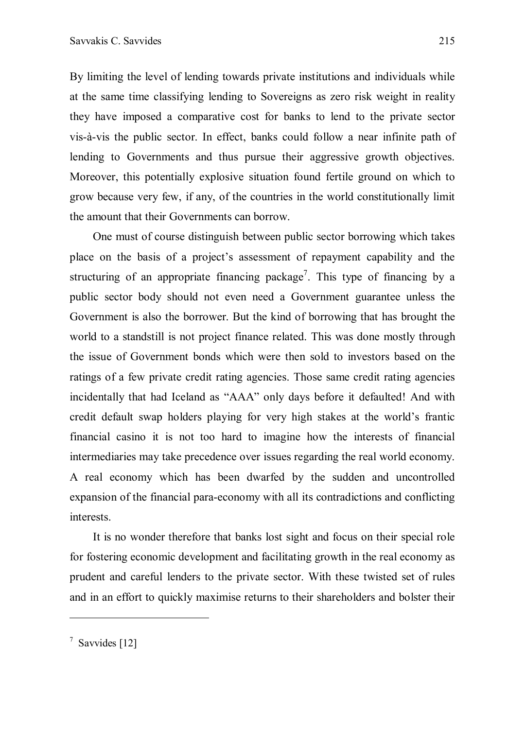By limiting the level of lending towards private institutions and individuals while at the same time classifying lending to Sovereigns as zero risk weight in reality they have imposed a comparative cost for banks to lend to the private sector vis-à-vis the public sector. In effect, banks could follow a near infinite path of lending to Governments and thus pursue their aggressive growth objectives. Moreover, this potentially explosive situation found fertile ground on which to grow because very few, if any, of the countries in the world constitutionally limit the amount that their Governments can borrow.

One must of course distinguish between public sector borrowing which takes place on the basis of a project's assessment of repayment capability and the structuring of an appropriate financing package<sup>7</sup>. This type of financing by a public sector body should not even need a Government guarantee unless the Government is also the borrower. But the kind of borrowing that has brought the world to a standstill is not project finance related. This was done mostly through the issue of Government bonds which were then sold to investors based on the ratings of a few private credit rating agencies. Those same credit rating agencies incidentally that had Iceland as "AAA" only days before it defaulted! And with credit default swap holders playing for very high stakes at the world's frantic financial casino it is not too hard to imagine how the interests of financial intermediaries may take precedence over issues regarding the real world economy. A real economy which has been dwarfed by the sudden and uncontrolled expansion of the financial para-economy with all its contradictions and conflicting interests.

It is no wonder therefore that banks lost sight and focus on their special role for fostering economic development and facilitating growth in the real economy as prudent and careful lenders to the private sector. With these twisted set of rules and in an effort to quickly maximise returns to their shareholders and bolster their

<sup>7</sup> Savvides [12]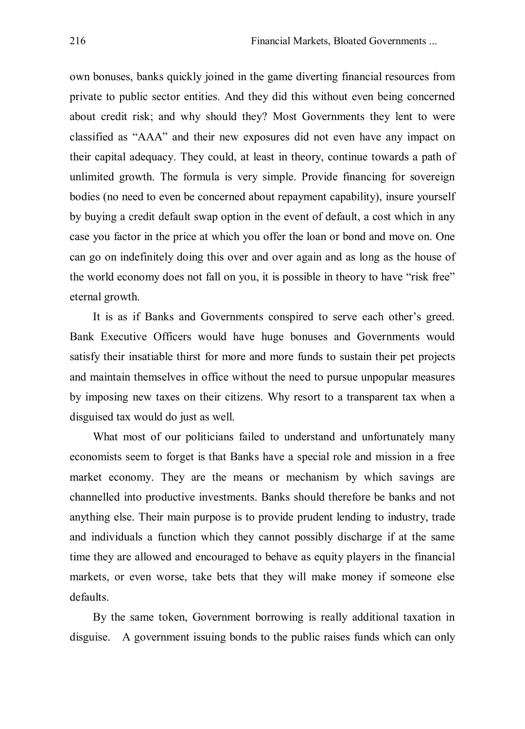own bonuses, banks quickly joined in the game diverting financial resources from private to public sector entities. And they did this without even being concerned about credit risk; and why should they? Most Governments they lent to were classified as "AAA" and their new exposures did not even have any impact on their capital adequacy. They could, at least in theory, continue towards a path of unlimited growth. The formula is very simple. Provide financing for sovereign bodies (no need to even be concerned about repayment capability), insure yourself by buying a credit default swap option in the event of default, a cost which in any case you factor in the price at which you offer the loan or bond and move on. One can go on indefinitely doing this over and over again and as long as the house of the world economy does not fall on you, it is possible in theory to have "risk free" eternal growth.

It is as if Banks and Governments conspired to serve each other's greed. Bank Executive Officers would have huge bonuses and Governments would satisfy their insatiable thirst for more and more funds to sustain their pet projects and maintain themselves in office without the need to pursue unpopular measures by imposing new taxes on their citizens. Why resort to a transparent tax when a disguised tax would do just as well.

What most of our politicians failed to understand and unfortunately many economists seem to forget is that Banks have a special role and mission in a free market economy. They are the means or mechanism by which savings are channelled into productive investments. Banks should therefore be banks and not anything else. Their main purpose is to provide prudent lending to industry, trade and individuals a function which they cannot possibly discharge if at the same time they are allowed and encouraged to behave as equity players in the financial markets, or even worse, take bets that they will make money if someone else defaults.

By the same token, Government borrowing is really additional taxation in disguise. A government issuing bonds to the public raises funds which can only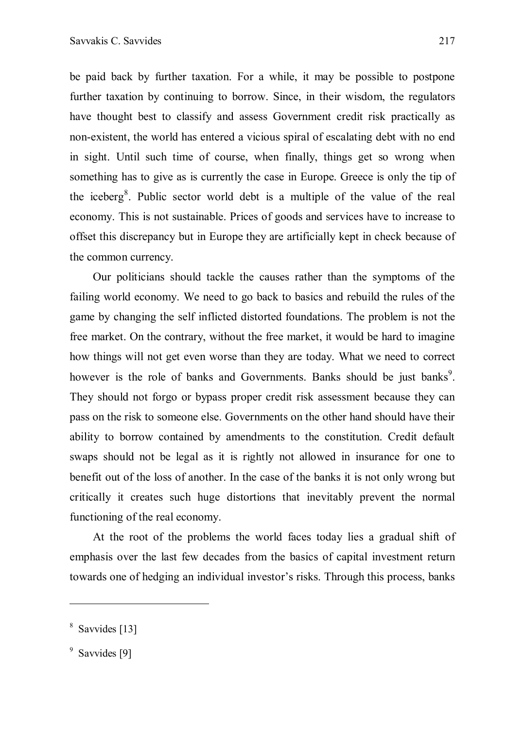be paid back by further taxation. For a while, it may be possible to postpone further taxation by continuing to borrow. Since, in their wisdom, the regulators have thought best to classify and assess Government credit risk practically as non-existent, the world has entered a vicious spiral of escalating debt with no end in sight. Until such time of course, when finally, things get so wrong when something has to give as is currently the case in Europe. Greece is only the tip of the iceberg<sup>8</sup>. Public sector world debt is a multiple of the value of the real economy. This is not sustainable. Prices of goods and services have to increase to offset this discrepancy but in Europe they are artificially kept in check because of the common currency.

Our politicians should tackle the causes rather than the symptoms of the failing world economy. We need to go back to basics and rebuild the rules of the game by changing the self inflicted distorted foundations. The problem is not the free market. On the contrary, without the free market, it would be hard to imagine how things will not get even worse than they are today. What we need to correct however is the role of banks and Governments. Banks should be just banks<sup>9</sup>. They should not forgo or bypass proper credit risk assessment because they can pass on the risk to someone else. Governments on the other hand should have their ability to borrow contained by amendments to the constitution. Credit default swaps should not be legal as it is rightly not allowed in insurance for one to benefit out of the loss of another. In the case of the banks it is not only wrong but critically it creates such huge distortions that inevitably prevent the normal functioning of the real economy.

At the root of the problems the world faces today lies a gradual shift of emphasis over the last few decades from the basics of capital investment return towards one of hedging an individual investor's risks. Through this process, banks

<sup>8</sup> Savvides [13]

<sup>&</sup>lt;sup>9</sup> Savvides [9]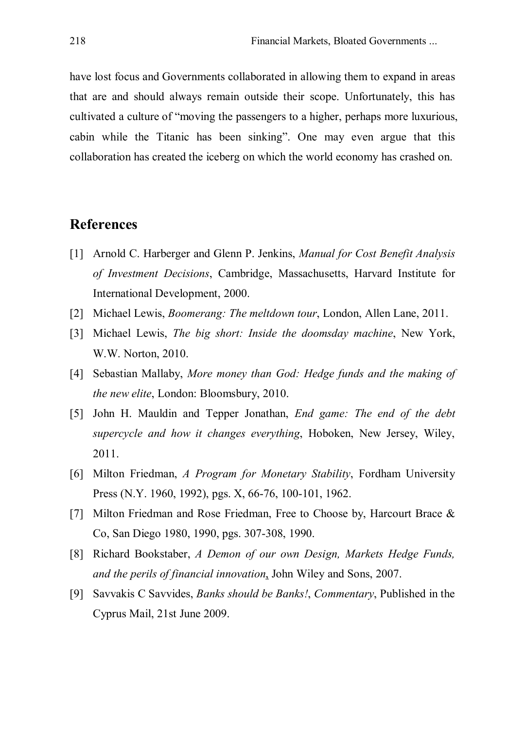have lost focus and Governments collaborated in allowing them to expand in areas that are and should always remain outside their scope. Unfortunately, this has cultivated a culture of "moving the passengers to a higher, perhaps more luxurious, cabin while the Titanic has been sinking". One may even argue that this collaboration has created the iceberg on which the world economy has crashed on.

# **References**

- [1] Arnold C. Harberger and Glenn P. Jenkins, *Manual for Cost Benefit Analysis of Investment Decisions*, Cambridge, Massachusetts, Harvard Institute for International Development, 2000.
- [2] Michael Lewis, *Boomerang: The meltdown tour*, London, Allen Lane, 2011.
- [3] Michael Lewis, *The big short: Inside the doomsday machine*, New York, W.W. Norton, 2010.
- [4] Sebastian Mallaby, *More money than God: Hedge funds and the making of the new elite*, London: Bloomsbury, 2010.
- [5] John H. Mauldin and Tepper Jonathan, *End game: The end of the debt supercycle and how it changes everything*, Hoboken, New Jersey, Wiley, 2011.
- [6] Milton Friedman, *A Program for Monetary Stability*, Fordham University Press (N.Y. 1960, 1992), pgs. X, 66-76, 100-101, 1962.
- [7] Milton Friedman and Rose Friedman, Free to Choose by, Harcourt Brace & Co, San Diego 1980, 1990, pgs. 307-308, 1990.
- [8] Richard Bookstaber, *A Demon of our own Design, Markets Hedge Funds, and the perils of financial innovation*, John Wiley and Sons, 2007.
- [9] Savvakis C Savvides, *Banks should be Banks!*, *Commentary*, Published in the Cyprus Mail, 21st June 2009.